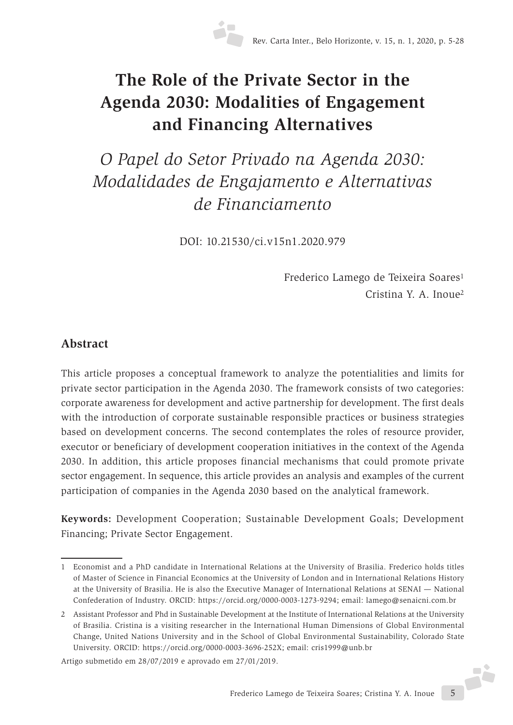# **The Role of the Private Sector in the Agenda 2030: Modalities of Engagement and Financing Alternatives**

*O Papel do Setor Privado na Agenda 2030: Modalidades de Engajamento e Alternativas de Financiamento*

DOI: 10.21530/ci.v15n1.2020.979

Frederico Lamego de Teixeira Soares1 Cristina Y. A. Inoue2

## **Abstract**

This article proposes a conceptual framework to analyze the potentialities and limits for private sector participation in the Agenda 2030. The framework consists of two categories: corporate awareness for development and active partnership for development. The first deals with the introduction of corporate sustainable responsible practices or business strategies based on development concerns. The second contemplates the roles of resource provider, executor or beneficiary of development cooperation initiatives in the context of the Agenda 2030. In addition, this article proposes financial mechanisms that could promote private sector engagement. In sequence, this article provides an analysis and examples of the current participation of companies in the Agenda 2030 based on the analytical framework.

**Keywords:** Development Cooperation; Sustainable Development Goals; Development Financing; Private Sector Engagement.

Artigo submetido em 28/07/2019 e aprovado em 27/01/2019.

<sup>1</sup> Economist and a PhD candidate in International Relations at the University of Brasilia. Frederico holds titles of Master of Science in Financial Economics at the University of London and in International Relations History at the University of Brasilia. He is also the Executive Manager of International Relations at SENAI — National Confederation of Industry. ORCID: https://orcid.org/0000-0003-1273-9294; email: lamego@senaicni.com.br

<sup>2</sup> Assistant Professor and Phd in Sustainable Development at the Institute of International Relations at the University of Brasilia. Cristina is a visiting researcher in the International Human Dimensions of Global Environmental Change, United Nations University and in the School of Global Environmental Sustainability, Colorado State University. ORCID: https://orcid.org/0000-0003-3696-252X; email: cris1999@unb.br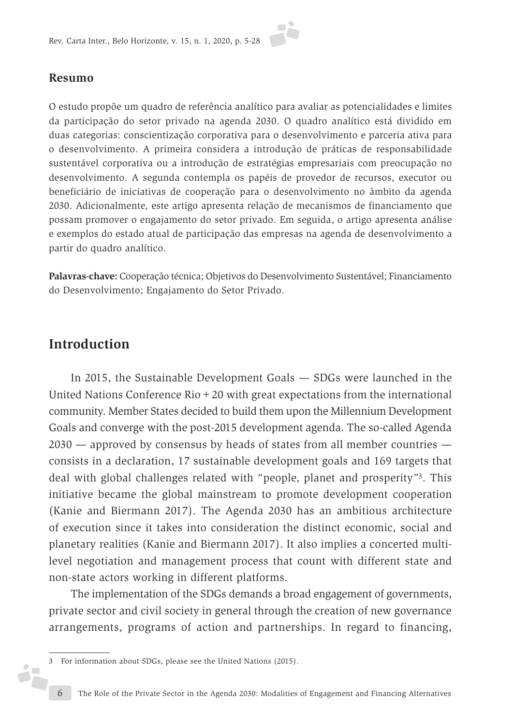

#### **Resumo**

O estudo propõe um quadro de referência analítico para avaliar as potencialidades e limites da participação do setor privado na agenda 2030. O quadro analítico está dividido em duas categorias: conscientização corporativa para o desenvolvimento e parceria ativa para o desenvolvimento. A primeira considera a introdução de práticas de responsabilidade sustentável corporativa ou a introdução de estratégias empresariais com preocupação no desenvolvimento. A segunda contempla os papéis de provedor de recursos, executor ou beneficiário de iniciativas de cooperação para o desenvolvimento no âmbito da agenda 2030. Adicionalmente, este artigo apresenta relação de mecanismos de financiamento que possam promover o engajamento do setor privado. Em seguida, o artigo apresenta análise e exemplos do estado atual de participação das empresas na agenda de desenvolvimento a partir do quadro analítico.

**Palavras-chave:** Cooperação técnica; Objetivos do Desenvolvimento Sustentável; Financiamento do Desenvolvimento; Engajamento do Setor Privado.

## **Introduction**

6

In 2015, the Sustainable Development Goals — SDGs were launched in the United Nations Conference  $\text{Rio} + 20$  with great expectations from the international community. Member States decided to build them upon the Millennium Development Goals and converge with the post-2015 development agenda. The so-called Agenda 2030 — approved by consensus by heads of states from all member countries consists in a declaration, 17 sustainable development goals and 169 targets that deal with global challenges related with "people, planet and prosperity"3. This initiative became the global mainstream to promote development cooperation (Kanie and Biermann 2017). The Agenda 2030 has an ambitious architecture of execution since it takes into consideration the distinct economic, social and planetary realities (Kanie and Biermann 2017). It also implies a concerted multilevel negotiation and management process that count with different state and non-state actors working in different platforms.

The implementation of the SDGs demands a broad engagement of governments, private sector and civil society in general through the creation of new governance arrangements, programs of action and partnerships. In regard to financing,

<sup>3</sup> For information about SDGs, please see the United Nations (2015).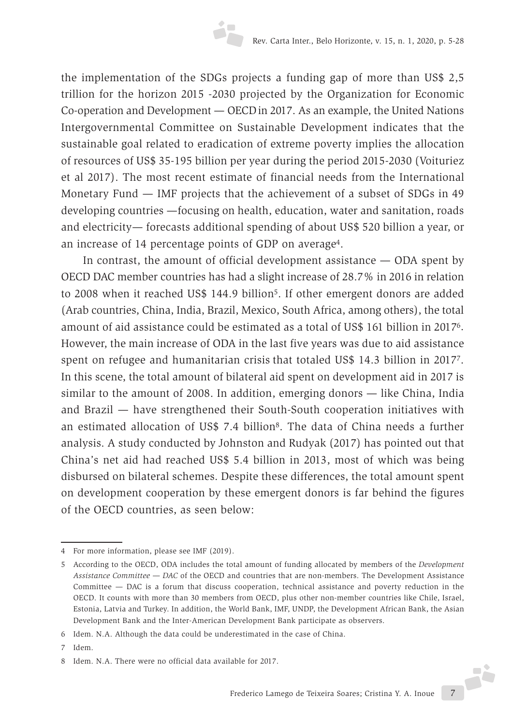the implementation of the SDGs projects a funding gap of more than US\$ 2,5 trillion for the horizon 2015 -2030 projected by the Organization for Economic Co-operation and Development — OECD in 2017. As an example, the United Nations Intergovernmental Committee on Sustainable Development indicates that the sustainable goal related to eradication of extreme poverty implies the allocation of resources of US\$ 35-195 billion per year during the period 2015-2030 (Voituriez et al 2017). The most recent estimate of financial needs from the International Monetary Fund — IMF projects that the achievement of a subset of SDGs in 49 developing countries —focusing on health, education, water and sanitation, roads and electricity— forecasts additional spending of about US\$ 520 billion a year, or an increase of 14 percentage points of GDP on average4.

In contrast, the amount of official development assistance — ODA spent by OECD DAC member countries has had a slight increase of 28.7% in 2016 in relation to 2008 when it reached US\$ 144.9 billion<sup>5</sup>. If other emergent donors are added (Arab countries, China, India, Brazil, Mexico, South Africa, among others), the total amount of aid assistance could be estimated as a total of US\$ 161 billion in 20176. However, the main increase of ODA in the last five years was due to aid assistance spent on refugee and humanitarian crisis that totaled US\$ 14.3 billion in 20177. In this scene, the total amount of bilateral aid spent on development aid in 2017 is similar to the amount of 2008. In addition, emerging donors — like China, India and Brazil — have strengthened their South-South cooperation initiatives with an estimated allocation of US\$ 7.4 billion8. The data of China needs a further analysis. A study conducted by Johnston and Rudyak (2017) has pointed out that China's net aid had reached US\$ 5.4 billion in 2013, most of which was being disbursed on bilateral schemes. Despite these differences, the total amount spent on development cooperation by these emergent donors is far behind the figures of the OECD countries, as seen below:

<sup>4</sup> For more information, please see IMF (2019).

<sup>5</sup> According to the OECD, ODA includes the total amount of funding allocated by members of the *Development Assistance Committee — DAC* of the OECD and countries that are non-members. The Development Assistance Committee — DAC is a forum that discuss cooperation, technical assistance and poverty reduction in the OECD. It counts with more than 30 members from OECD, plus other non-member countries like Chile, Israel, Estonia, Latvia and Turkey. In addition, the World Bank, IMF, UNDP, the Development African Bank, the Asian Development Bank and the Inter-American Development Bank participate as observers.

<sup>6</sup> Idem. N.A. Although the data could be underestimated in the case of China.

<sup>7</sup> Idem.

<sup>8</sup> Idem. N.A. There were no official data available for 2017.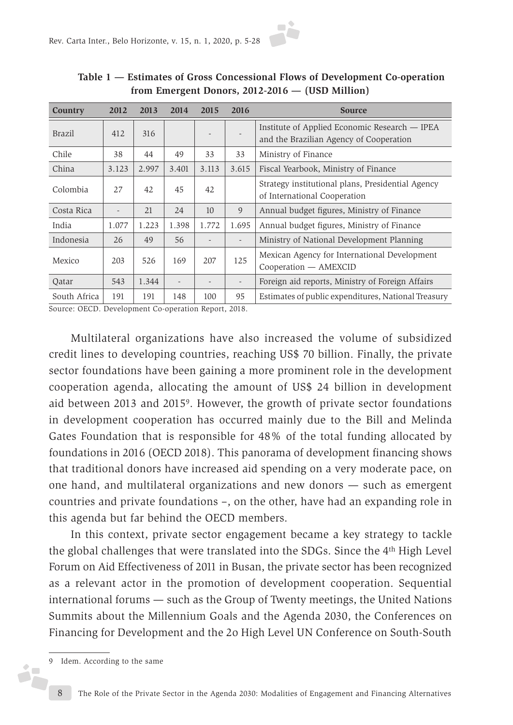

**Table 1 — Estimates of Gross Concessional Flows of Development Co-operation from Emergent Donors, 2012-2016 — (USD Million)**

Source: OECD. Development Co-operation Report, 2018.

Multilateral organizations have also increased the volume of subsidized credit lines to developing countries, reaching US\$ 70 billion. Finally, the private sector foundations have been gaining a more prominent role in the development cooperation agenda, allocating the amount of US\$ 24 billion in development aid between 2013 and 20159. However, the growth of private sector foundations in development cooperation has occurred mainly due to the Bill and Melinda Gates Foundation that is responsible for 48% of the total funding allocated by foundations in 2016 (OECD 2018). This panorama of development financing shows that traditional donors have increased aid spending on a very moderate pace, on one hand, and multilateral organizations and new donors — such as emergent countries and private foundations –, on the other, have had an expanding role in this agenda but far behind the OECD members.

In this context, private sector engagement became a key strategy to tackle the global challenges that were translated into the SDGs. Since the 4th High Level Forum on Aid Effectiveness of 2011 in Busan, the private sector has been recognized as a relevant actor in the promotion of development cooperation. Sequential international forums — such as the Group of Twenty meetings, the United Nations Summits about the Millennium Goals and the Agenda 2030, the Conferences on Financing for Development and the 2o High Level UN Conference on South-South

8

i.

<sup>9</sup> Idem. According to the same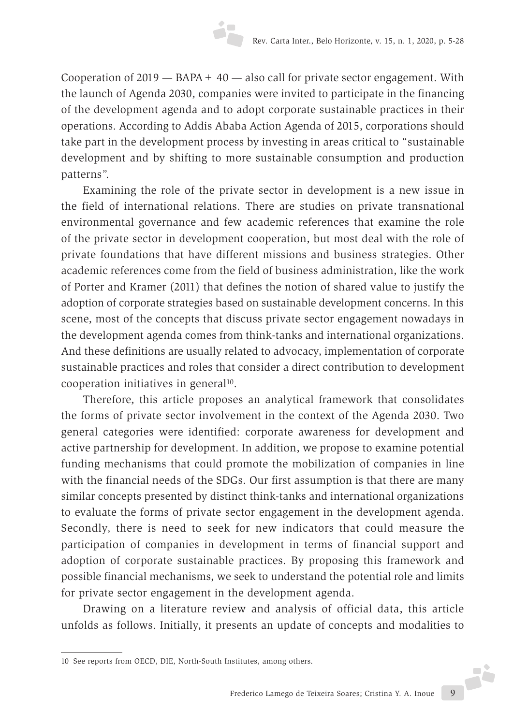Cooperation of  $2019 - BAPA + 40 - also$  call for private sector engagement. With the launch of Agenda 2030, companies were invited to participate in the financing of the development agenda and to adopt corporate sustainable practices in their operations. According to Addis Ababa Action Agenda of 2015, corporations should take part in the development process by investing in areas critical to "sustainable development and by shifting to more sustainable consumption and production patterns".

Examining the role of the private sector in development is a new issue in the field of international relations. There are studies on private transnational environmental governance and few academic references that examine the role of the private sector in development cooperation, but most deal with the role of private foundations that have different missions and business strategies. Other academic references come from the field of business administration, like the work of Porter and Kramer (2011) that defines the notion of shared value to justify the adoption of corporate strategies based on sustainable development concerns. In this scene, most of the concepts that discuss private sector engagement nowadays in the development agenda comes from think-tanks and international organizations. And these definitions are usually related to advocacy, implementation of corporate sustainable practices and roles that consider a direct contribution to development cooperation initiatives in general<sup>10</sup>.

Therefore, this article proposes an analytical framework that consolidates the forms of private sector involvement in the context of the Agenda 2030. Two general categories were identified: corporate awareness for development and active partnership for development. In addition, we propose to examine potential funding mechanisms that could promote the mobilization of companies in line with the financial needs of the SDGs. Our first assumption is that there are many similar concepts presented by distinct think-tanks and international organizations to evaluate the forms of private sector engagement in the development agenda. Secondly, there is need to seek for new indicators that could measure the participation of companies in development in terms of financial support and adoption of corporate sustainable practices. By proposing this framework and possible financial mechanisms, we seek to understand the potential role and limits for private sector engagement in the development agenda.

Drawing on a literature review and analysis of official data, this article unfolds as follows. Initially, it presents an update of concepts and modalities to

<sup>10</sup> See reports from OECD, DIE, North-South Institutes, among others.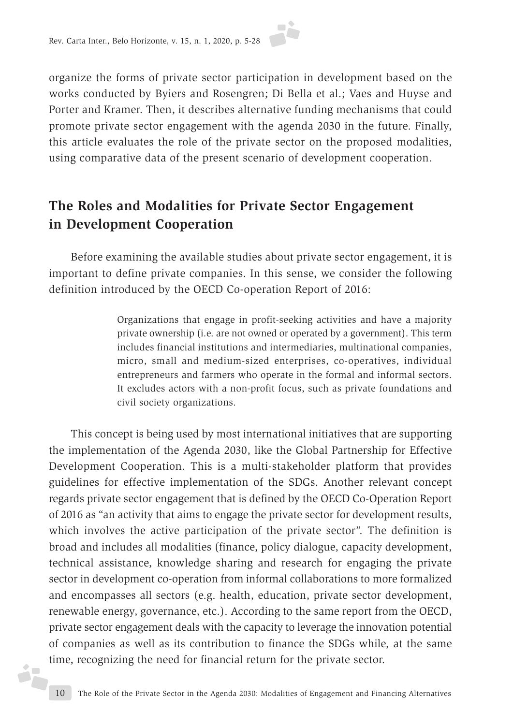

organize the forms of private sector participation in development based on the works conducted by Byiers and Rosengren; Di Bella et al.; Vaes and Huyse and Porter and Kramer. Then, it describes alternative funding mechanisms that could promote private sector engagement with the agenda 2030 in the future. Finally, this article evaluates the role of the private sector on the proposed modalities, using comparative data of the present scenario of development cooperation.

## **The Roles and Modalities for Private Sector Engagement in Development Cooperation**

Before examining the available studies about private sector engagement, it is important to define private companies. In this sense, we consider the following definition introduced by the OECD Co-operation Report of 2016:

> Organizations that engage in profit-seeking activities and have a majority private ownership (i.e. are not owned or operated by a government). This term includes financial institutions and intermediaries, multinational companies, micro, small and medium-sized enterprises, co-operatives, individual entrepreneurs and farmers who operate in the formal and informal sectors. It excludes actors with a non-profit focus, such as private foundations and civil society organizations.

This concept is being used by most international initiatives that are supporting the implementation of the Agenda 2030, like the Global Partnership for Effective Development Cooperation. This is a multi-stakeholder platform that provides guidelines for effective implementation of the SDGs. Another relevant concept regards private sector engagement that is defined by the OECD Co-Operation Report of 2016 as "an activity that aims to engage the private sector for development results, which involves the active participation of the private sector". The definition is broad and includes all modalities (finance, policy dialogue, capacity development, technical assistance, knowledge sharing and research for engaging the private sector in development co-operation from informal collaborations to more formalized and encompasses all sectors (e.g. health, education, private sector development, renewable energy, governance, etc.). According to the same report from the OECD, private sector engagement deals with the capacity to leverage the innovation potential of companies as well as its contribution to finance the SDGs while, at the same time, recognizing the need for financial return for the private sector.

i<sub>r</sub>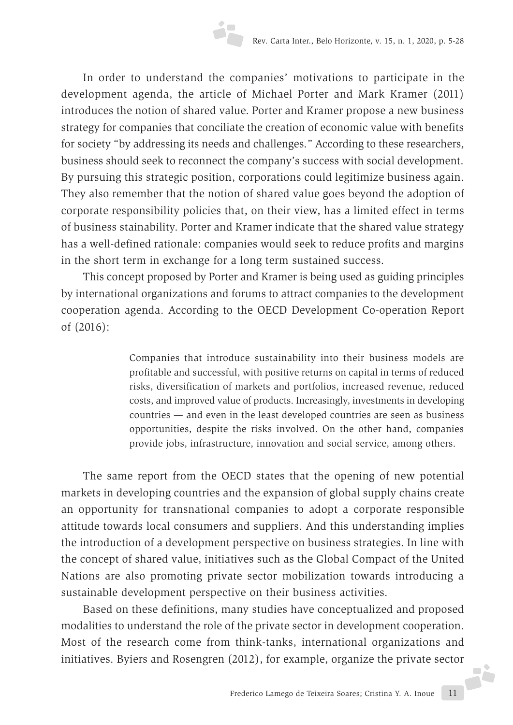In order to understand the companies' motivations to participate in the development agenda, the article of Michael Porter and Mark Kramer (2011) introduces the notion of shared value. Porter and Kramer propose a new business strategy for companies that conciliate the creation of economic value with benefits for society "by addressing its needs and challenges." According to these researchers, business should seek to reconnect the company's success with social development. By pursuing this strategic position, corporations could legitimize business again. They also remember that the notion of shared value goes beyond the adoption of corporate responsibility policies that, on their view, has a limited effect in terms of business stainability. Porter and Kramer indicate that the shared value strategy has a well-defined rationale: companies would seek to reduce profits and margins in the short term in exchange for a long term sustained success.

This concept proposed by Porter and Kramer is being used as guiding principles by international organizations and forums to attract companies to the development cooperation agenda. According to the OECD Development Co-operation Report of (2016):

> Companies that introduce sustainability into their business models are profitable and successful, with positive returns on capital in terms of reduced risks, diversification of markets and portfolios, increased revenue, reduced costs, and improved value of products. Increasingly, investments in developing countries — and even in the least developed countries are seen as business opportunities, despite the risks involved. On the other hand, companies provide jobs, infrastructure, innovation and social service, among others.

The same report from the OECD states that the opening of new potential markets in developing countries and the expansion of global supply chains create an opportunity for transnational companies to adopt a corporate responsible attitude towards local consumers and suppliers. And this understanding implies the introduction of a development perspective on business strategies. In line with the concept of shared value, initiatives such as the Global Compact of the United Nations are also promoting private sector mobilization towards introducing a sustainable development perspective on their business activities.

Based on these definitions, many studies have conceptualized and proposed modalities to understand the role of the private sector in development cooperation. Most of the research come from think-tanks, international organizations and initiatives. Byiers and Rosengren (2012), for example, organize the private sector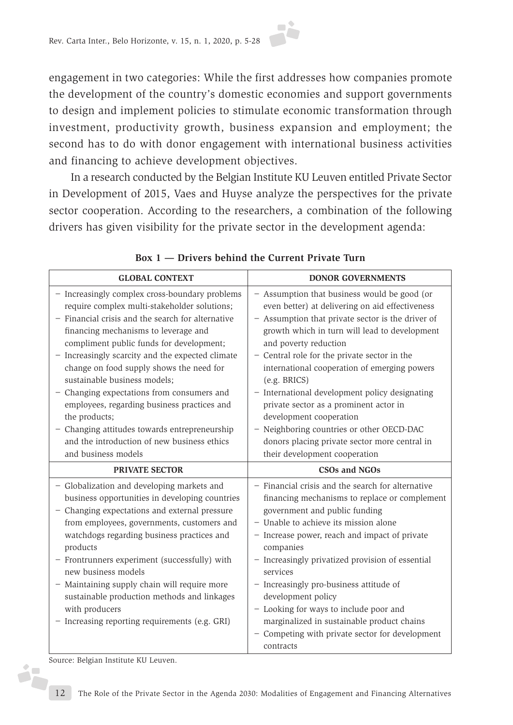engagement in two categories: While the first addresses how companies promote the development of the country's domestic economies and support governments to design and implement policies to stimulate economic transformation through investment, productivity growth, business expansion and employment; the second has to do with donor engagement with international business activities and financing to achieve development objectives.

In a research conducted by the Belgian Institute KU Leuven entitled Private Sector in Development of 2015, Vaes and Huyse analyze the perspectives for the private sector cooperation. According to the researchers, a combination of the following drivers has given visibility for the private sector in the development agenda:

| <b>GLOBAL CONTEXT</b>                                                                                                                                                                                                                                                                                                                                                                                                                                                                                                                                                                                  | <b>DONOR GOVERNMENTS</b>                                                                                                                                                                                                                                                                                                                                                                                                                                                                                                                                                                             |
|--------------------------------------------------------------------------------------------------------------------------------------------------------------------------------------------------------------------------------------------------------------------------------------------------------------------------------------------------------------------------------------------------------------------------------------------------------------------------------------------------------------------------------------------------------------------------------------------------------|------------------------------------------------------------------------------------------------------------------------------------------------------------------------------------------------------------------------------------------------------------------------------------------------------------------------------------------------------------------------------------------------------------------------------------------------------------------------------------------------------------------------------------------------------------------------------------------------------|
| - Increasingly complex cross-boundary problems<br>require complex multi-stakeholder solutions;<br>Financial crisis and the search for alternative<br>financing mechanisms to leverage and<br>compliment public funds for development;<br>- Increasingly scarcity and the expected climate<br>change on food supply shows the need for<br>sustainable business models;<br>Changing expectations from consumers and<br>employees, regarding business practices and<br>the products;<br>Changing attitudes towards entrepreneurship<br>and the introduction of new business ethics<br>and business models | - Assumption that business would be good (or<br>even better) at delivering on aid effectiveness<br>- Assumption that private sector is the driver of<br>growth which in turn will lead to development<br>and poverty reduction<br>- Central role for the private sector in the<br>international cooperation of emerging powers<br>(e.g. BRICS)<br>- International development policy designating<br>private sector as a prominent actor in<br>development cooperation<br>- Neighboring countries or other OECD-DAC<br>donors placing private sector more central in<br>their development cooperation |
| <b>PRIVATE SECTOR</b>                                                                                                                                                                                                                                                                                                                                                                                                                                                                                                                                                                                  | <b>CSOs and NGOs</b>                                                                                                                                                                                                                                                                                                                                                                                                                                                                                                                                                                                 |
| - Globalization and developing markets and<br>business opportunities in developing countries<br>Changing expectations and external pressure<br>from employees, governments, customers and<br>watchdogs regarding business practices and<br>products<br>- Frontrunners experiment (successfully) with<br>new business models<br>- Maintaining supply chain will require more<br>sustainable production methods and linkages<br>with producers<br>- Increasing reporting requirements (e.g. GRI)                                                                                                         | - Financial crisis and the search for alternative<br>financing mechanisms to replace or complement<br>government and public funding<br>- Unable to achieve its mission alone<br>- Increase power, reach and impact of private<br>companies<br>- Increasingly privatized provision of essential<br>services<br>- Increasingly pro-business attitude of<br>development policy<br>- Looking for ways to include poor and<br>marginalized in sustainable product chains<br>- Competing with private sector for development                                                                               |

**Box 1 — Drivers behind the Current Private Turn**

Source: Belgian Institute KU Leuven.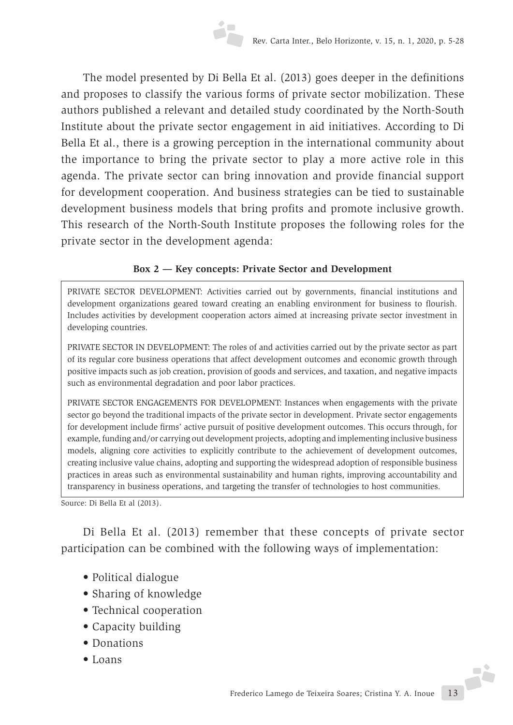The model presented by Di Bella Et al. (2013) goes deeper in the definitions and proposes to classify the various forms of private sector mobilization. These authors published a relevant and detailed study coordinated by the North-South Institute about the private sector engagement in aid initiatives. According to Di Bella Et al., there is a growing perception in the international community about the importance to bring the private sector to play a more active role in this agenda. The private sector can bring innovation and provide financial support for development cooperation. And business strategies can be tied to sustainable development business models that bring profits and promote inclusive growth. This research of the North-South Institute proposes the following roles for the private sector in the development agenda:

#### **Box 2 — Key concepts: Private Sector and Development**

PRIVATE SECTOR DEVELOPMENT: Activities carried out by governments, financial institutions and development organizations geared toward creating an enabling environment for business to flourish. Includes activities by development cooperation actors aimed at increasing private sector investment in developing countries.

PRIVATE SECTOR IN DEVELOPMENT: The roles of and activities carried out by the private sector as part of its regular core business operations that affect development outcomes and economic growth through positive impacts such as job creation, provision of goods and services, and taxation, and negative impacts such as environmental degradation and poor labor practices.

PRIVATE SECTOR ENGAGEMENTS FOR DEVELOPMENT: Instances when engagements with the private sector go beyond the traditional impacts of the private sector in development. Private sector engagements for development include firms' active pursuit of positive development outcomes. This occurs through, for example, funding and/or carrying out development projects, adopting and implementing inclusive business models, aligning core activities to explicitly contribute to the achievement of development outcomes, creating inclusive value chains, adopting and supporting the widespread adoption of responsible business practices in areas such as environmental sustainability and human rights, improving accountability and transparency in business operations, and targeting the transfer of technologies to host communities.

Source: Di Bella Et al (2013).

Di Bella Et al. (2013) remember that these concepts of private sector participation can be combined with the following ways of implementation:

- Political dialogue
- Sharing of knowledge
- Technical cooperation
- Capacity building
- Donations
- Loans

Frederico Lamego de Teixeira Soares; Cristina Y. A. Inoue 13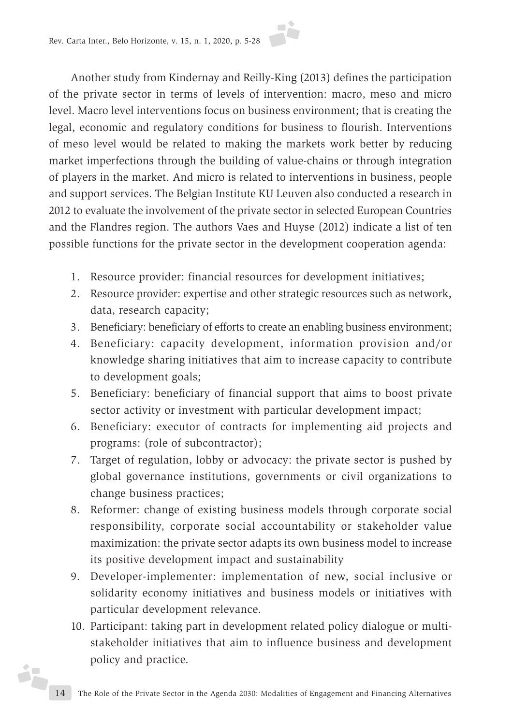Another study from Kindernay and Reilly-King (2013) defines the participation of the private sector in terms of levels of intervention: macro, meso and micro level. Macro level interventions focus on business environment; that is creating the legal, economic and regulatory conditions for business to flourish. Interventions of meso level would be related to making the markets work better by reducing market imperfections through the building of value-chains or through integration of players in the market. And micro is related to interventions in business, people and support services. The Belgian Institute KU Leuven also conducted a research in 2012 to evaluate the involvement of the private sector in selected European Countries and the Flandres region. The authors Vaes and Huyse (2012) indicate a list of ten possible functions for the private sector in the development cooperation agenda:

- 1. Resource provider: financial resources for development initiatives;
- 2. Resource provider: expertise and other strategic resources such as network, data, research capacity;
- 3. Beneficiary: beneficiary of efforts to create an enabling business environment;
- 4. Beneficiary: capacity development, information provision and/or knowledge sharing initiatives that aim to increase capacity to contribute to development goals;
- 5. Beneficiary: beneficiary of financial support that aims to boost private sector activity or investment with particular development impact;
- 6. Beneficiary: executor of contracts for implementing aid projects and programs: (role of subcontractor);
- 7. Target of regulation, lobby or advocacy: the private sector is pushed by global governance institutions, governments or civil organizations to change business practices;
- 8. Reformer: change of existing business models through corporate social responsibility, corporate social accountability or stakeholder value maximization: the private sector adapts its own business model to increase its positive development impact and sustainability
- 9. Developer-implementer: implementation of new, social inclusive or solidarity economy initiatives and business models or initiatives with particular development relevance.
- 10. Participant: taking part in development related policy dialogue or multistakeholder initiatives that aim to influence business and development policy and practice.

j.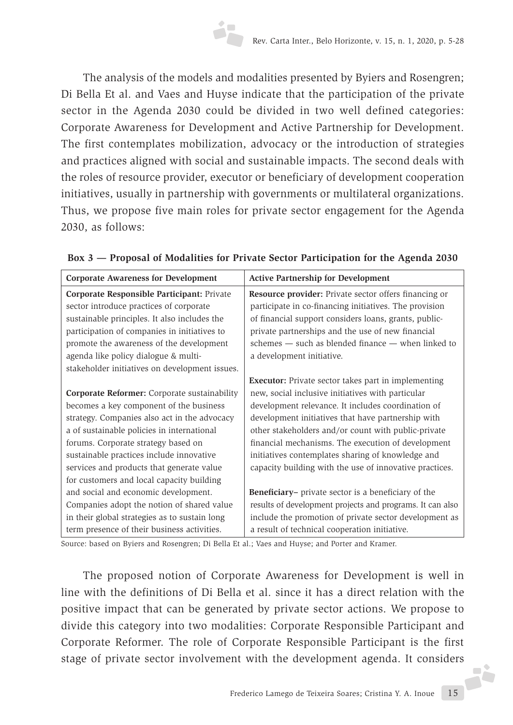The analysis of the models and modalities presented by Byiers and Rosengren; Di Bella Et al. and Vaes and Huyse indicate that the participation of the private sector in the Agenda 2030 could be divided in two well defined categories: Corporate Awareness for Development and Active Partnership for Development. The first contemplates mobilization, advocacy or the introduction of strategies and practices aligned with social and sustainable impacts. The second deals with the roles of resource provider, executor or beneficiary of development cooperation initiatives, usually in partnership with governments or multilateral organizations. Thus, we propose five main roles for private sector engagement for the Agenda 2030, as follows:

| <b>Corporate Awareness for Development</b>     | <b>Active Partnership for Development</b>                  |
|------------------------------------------------|------------------------------------------------------------|
| Corporate Responsible Participant: Private     | Resource provider: Private sector offers financing or      |
| sector introduce practices of corporate        | participate in co-financing initiatives. The provision     |
| sustainable principles. It also includes the   | of financial support considers loans, grants, public-      |
| participation of companies in initiatives to   | private partnerships and the use of new financial          |
| promote the awareness of the development       | schemes - such as blended finance - when linked to         |
| agenda like policy dialogue & multi-           | a development initiative.                                  |
| stakeholder initiatives on development issues. |                                                            |
|                                                | <b>Executor:</b> Private sector takes part in implementing |
| Corporate Reformer: Corporate sustainability   | new, social inclusive initiatives with particular          |
| becomes a key component of the business        | development relevance. It includes coordination of         |
| strategy. Companies also act in the advocacy   | development initiatives that have partnership with         |
| a of sustainable policies in international     | other stakeholders and/or count with public-private        |
| forums. Corporate strategy based on            | financial mechanisms. The execution of development         |
| sustainable practices include innovative       | initiatives contemplates sharing of knowledge and          |
| services and products that generate value      | capacity building with the use of innovative practices.    |
| for customers and local capacity building      |                                                            |
| and social and economic development.           | Beneficiary- private sector is a beneficiary of the        |
| Companies adopt the notion of shared value     | results of development projects and programs. It can also  |
| in their global strategies as to sustain long  | include the promotion of private sector development as     |
| term presence of their business activities.    | a result of technical cooperation initiative.              |

**Box 3 — Proposal of Modalities for Private Sector Participation for the Agenda 2030**

Source: based on Byiers and Rosengren; Di Bella Et al.; Vaes and Huyse; and Porter and Kramer.

The proposed notion of Corporate Awareness for Development is well in line with the definitions of Di Bella et al. since it has a direct relation with the positive impact that can be generated by private sector actions. We propose to divide this category into two modalities: Corporate Responsible Participant and Corporate Reformer. The role of Corporate Responsible Participant is the first stage of private sector involvement with the development agenda. It considers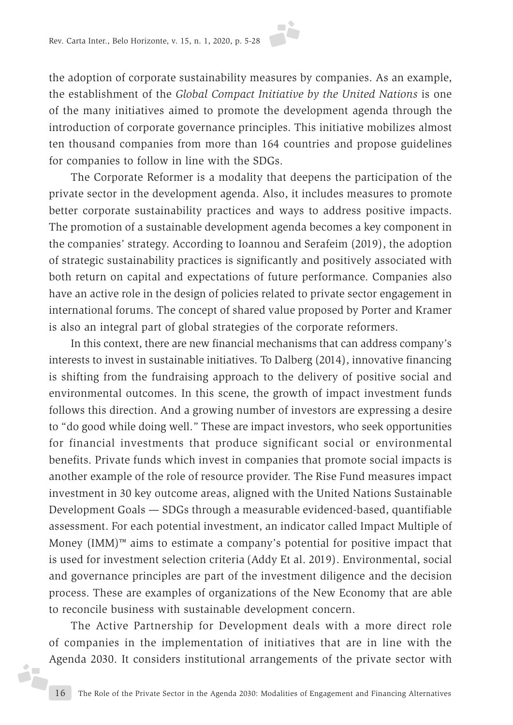the adoption of corporate sustainability measures by companies. As an example, the establishment of the *Global Compact Initiative by the United Nations* is one of the many initiatives aimed to promote the development agenda through the introduction of corporate governance principles. This initiative mobilizes almost ten thousand companies from more than 164 countries and propose guidelines for companies to follow in line with the SDGs.

The Corporate Reformer is a modality that deepens the participation of the private sector in the development agenda. Also, it includes measures to promote better corporate sustainability practices and ways to address positive impacts. The promotion of a sustainable development agenda becomes a key component in the companies' strategy. According to Ioannou and Serafeim (2019), the adoption of strategic sustainability practices is significantly and positively associated with both return on capital and expectations of future performance. Companies also have an active role in the design of policies related to private sector engagement in international forums. The concept of shared value proposed by Porter and Kramer is also an integral part of global strategies of the corporate reformers.

In this context, there are new financial mechanisms that can address company's interests to invest in sustainable initiatives. To Dalberg (2014), innovative financing is shifting from the fundraising approach to the delivery of positive social and environmental outcomes. In this scene, the growth of impact investment funds follows this direction. And a growing number of investors are expressing a desire to "do good while doing well." These are impact investors, who seek opportunities for financial investments that produce significant social or environmental benefits. Private funds which invest in companies that promote social impacts is another example of the role of resource provider. The Rise Fund measures impact investment in 30 key outcome areas, aligned with the United Nations Sustainable Development Goals — SDGs through a measurable evidenced-based, quantifiable assessment. For each potential investment, an indicator called Impact Multiple of Money  $(IMM)^{TM}$  aims to estimate a company's potential for positive impact that is used for investment selection criteria (Addy Et al. 2019). Environmental, social and governance principles are part of the investment diligence and the decision process. These are examples of organizations of the New Economy that are able to reconcile business with sustainable development concern.

The Active Partnership for Development deals with a more direct role of companies in the implementation of initiatives that are in line with the Agenda 2030. It considers institutional arrangements of the private sector with

d.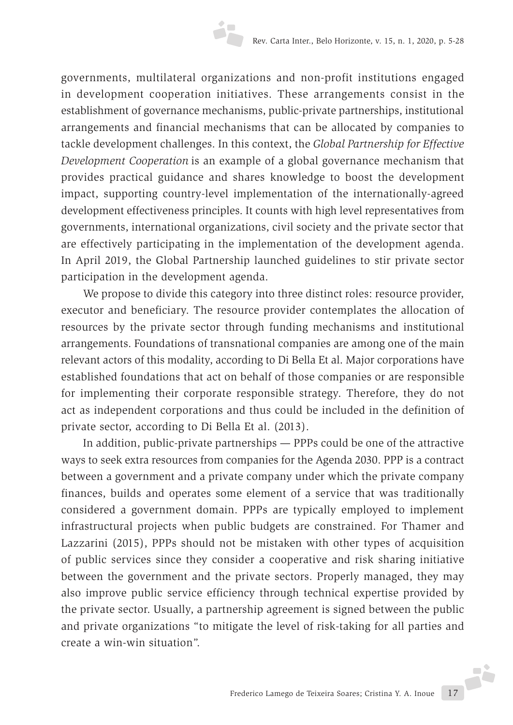governments, multilateral organizations and non-profit institutions engaged in development cooperation initiatives. These arrangements consist in the establishment of governance mechanisms, public-private partnerships, institutional arrangements and financial mechanisms that can be allocated by companies to tackle development challenges. In this context, the *Global Partnership for Effective Development Cooperation* is an example of a global governance mechanism that provides practical guidance and shares knowledge to boost the development impact, supporting country-level implementation of the internationally-agreed development effectiveness principles. It counts with high level representatives from governments, international organizations, civil society and the private sector that are effectively participating in the implementation of the development agenda. In April 2019, the Global Partnership launched guidelines to stir private sector participation in the development agenda.

We propose to divide this category into three distinct roles: resource provider, executor and beneficiary. The resource provider contemplates the allocation of resources by the private sector through funding mechanisms and institutional arrangements. Foundations of transnational companies are among one of the main relevant actors of this modality, according to Di Bella Et al. Major corporations have established foundations that act on behalf of those companies or are responsible for implementing their corporate responsible strategy. Therefore, they do not act as independent corporations and thus could be included in the definition of private sector, according to Di Bella Et al. (2013).

In addition, public-private partnerships — PPPs could be one of the attractive ways to seek extra resources from companies for the Agenda 2030. PPP is a contract between a government and a private company under which the private company finances, builds and operates some element of a service that was traditionally considered a government domain. PPPs are typically employed to implement infrastructural projects when public budgets are constrained. For Thamer and Lazzarini (2015), PPPs should not be mistaken with other types of acquisition of public services since they consider a cooperative and risk sharing initiative between the government and the private sectors. Properly managed, they may also improve public service efficiency through technical expertise provided by the private sector. Usually, a partnership agreement is signed between the public and private organizations "to mitigate the level of risk-taking for all parties and create a win-win situation".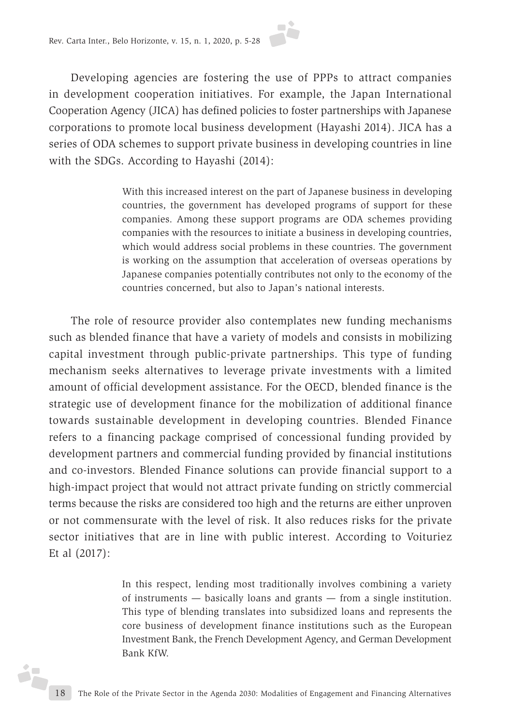Developing agencies are fostering the use of PPPs to attract companies in development cooperation initiatives. For example, the Japan International Cooperation Agency (JICA) has defined policies to foster partnerships with Japanese corporations to promote local business development (Hayashi 2014). JICA has a series of ODA schemes to support private business in developing countries in line with the SDGs. According to Hayashi (2014):

> With this increased interest on the part of Japanese business in developing countries, the government has developed programs of support for these companies. Among these support programs are ODA schemes providing companies with the resources to initiate a business in developing countries, which would address social problems in these countries. The government is working on the assumption that acceleration of overseas operations by Japanese companies potentially contributes not only to the economy of the countries concerned, but also to Japan's national interests.

The role of resource provider also contemplates new funding mechanisms such as blended finance that have a variety of models and consists in mobilizing capital investment through public-private partnerships. This type of funding mechanism seeks alternatives to leverage private investments with a limited amount of official development assistance. For the OECD, blended finance is the strategic use of development finance for the mobilization of additional finance towards sustainable development in developing countries. Blended Finance refers to a financing package comprised of concessional funding provided by development partners and commercial funding provided by financial institutions and co-investors. Blended Finance solutions can provide financial support to a high-impact project that would not attract private funding on strictly commercial terms because the risks are considered too high and the returns are either unproven or not commensurate with the level of risk. It also reduces risks for the private sector initiatives that are in line with public interest. According to Voituriez Et al (2017):

> In this respect, lending most traditionally involves combining a variety of instruments — basically loans and grants — from a single institution. This type of blending translates into subsidized loans and represents the core business of development finance institutions such as the European Investment Bank, the French Development Agency, and German Development Bank KfW.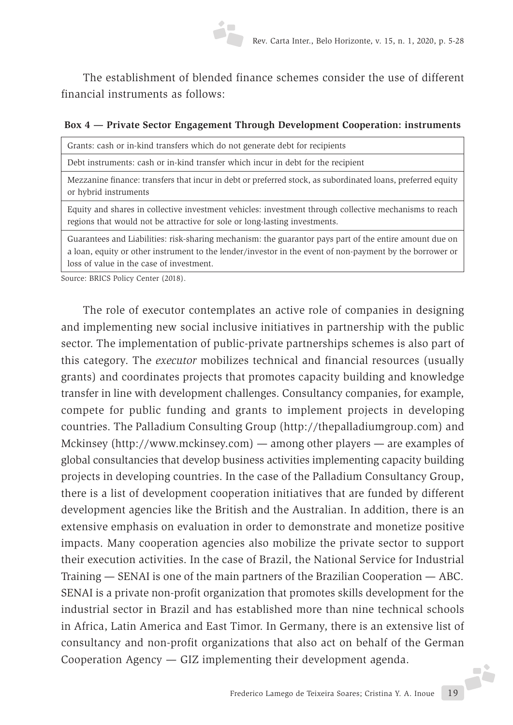The establishment of blended finance schemes consider the use of different financial instruments as follows:

#### **Box 4 — Private Sector Engagement Through Development Cooperation: instruments**

Grants: cash or in-kind transfers which do not generate debt for recipients

Debt instruments: cash or in-kind transfer which incur in debt for the recipient

Mezzanine finance: transfers that incur in debt or preferred stock, as subordinated loans, preferred equity or hybrid instruments

Equity and shares in collective investment vehicles: investment through collective mechanisms to reach regions that would not be attractive for sole or long-lasting investments.

Guarantees and Liabilities: risk-sharing mechanism: the guarantor pays part of the entire amount due on a loan, equity or other instrument to the lender/investor in the event of non-payment by the borrower or loss of value in the case of investment.

Source: BRICS Policy Center (2018).

Frederico Lamego de Teixeira Soares; Cristina Y. A. Inoue 19 The role of executor contemplates an active role of companies in designing and implementing new social inclusive initiatives in partnership with the public sector. The implementation of public-private partnerships schemes is also part of this category. The *executor* mobilizes technical and financial resources (usually grants) and coordinates projects that promotes capacity building and knowledge transfer in line with development challenges. Consultancy companies, for example, compete for public funding and grants to implement projects in developing countries. The Palladium Consulting Group (http://thepalladiumgroup.com) and Mckinsey (http://www.mckinsey.com) — among other players — are examples of global consultancies that develop business activities implementing capacity building projects in developing countries. In the case of the Palladium Consultancy Group, there is a list of development cooperation initiatives that are funded by different development agencies like the British and the Australian. In addition, there is an extensive emphasis on evaluation in order to demonstrate and monetize positive impacts. Many cooperation agencies also mobilize the private sector to support their execution activities. In the case of Brazil, the National Service for Industrial Training — SENAI is one of the main partners of the Brazilian Cooperation — ABC. SENAI is a private non-profit organization that promotes skills development for the industrial sector in Brazil and has established more than nine technical schools in Africa, Latin America and East Timor. In Germany, there is an extensive list of consultancy and non-profit organizations that also act on behalf of the German Cooperation Agency — GIZ implementing their development agenda.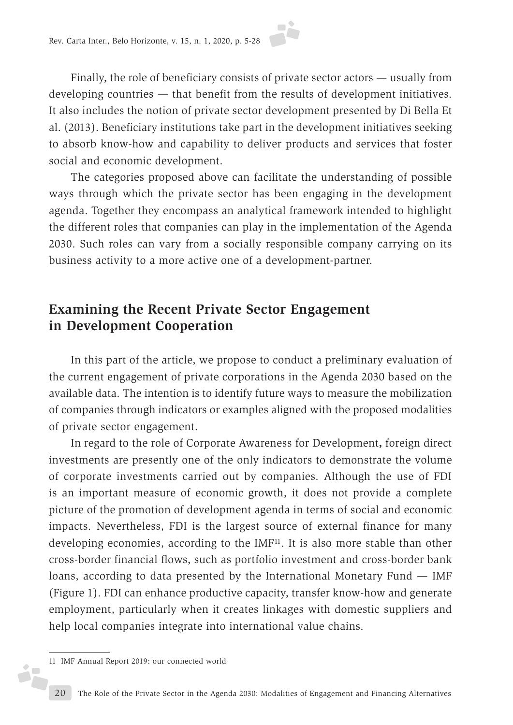Finally, the role of beneficiary consists of private sector actors — usually from developing countries — that benefit from the results of development initiatives. It also includes the notion of private sector development presented by Di Bella Et al. (2013). Beneficiary institutions take part in the development initiatives seeking to absorb know-how and capability to deliver products and services that foster social and economic development.

The categories proposed above can facilitate the understanding of possible ways through which the private sector has been engaging in the development agenda. Together they encompass an analytical framework intended to highlight the different roles that companies can play in the implementation of the Agenda 2030. Such roles can vary from a socially responsible company carrying on its business activity to a more active one of a development-partner.

## **Examining the Recent Private Sector Engagement in Development Cooperation**

In this part of the article, we propose to conduct a preliminary evaluation of the current engagement of private corporations in the Agenda 2030 based on the available data. The intention is to identify future ways to measure the mobilization of companies through indicators or examples aligned with the proposed modalities of private sector engagement.

In regard to the role of Corporate Awareness for Development**,** foreign direct investments are presently one of the only indicators to demonstrate the volume of corporate investments carried out by companies. Although the use of FDI is an important measure of economic growth, it does not provide a complete picture of the promotion of development agenda in terms of social and economic impacts. Nevertheless, FDI is the largest source of external finance for many developing economies, according to the IMF<sup>11</sup>. It is also more stable than other cross-border financial flows, such as portfolio investment and cross-border bank loans, according to data presented by the International Monetary Fund — IMF (Figure 1). FDI can enhance productive capacity, transfer know-how and generate employment, particularly when it creates linkages with domestic suppliers and help local companies integrate into international value chains.

ó,

<sup>11</sup> IMF Annual Report 2019: our connected world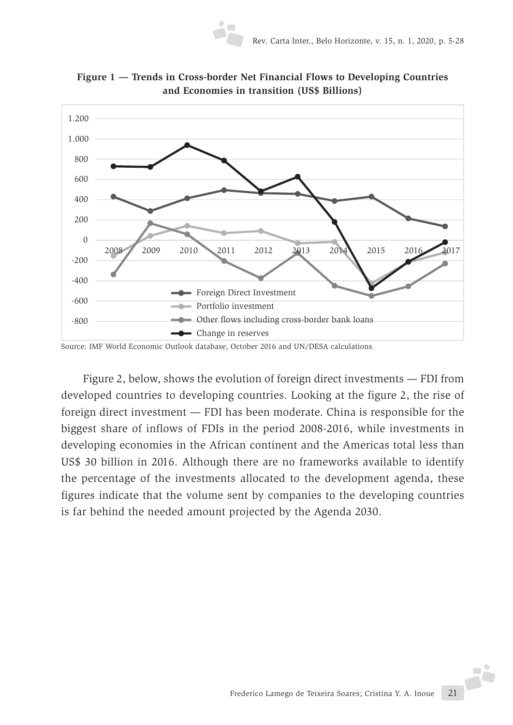

**Figure 1 — Trends in Cross-border Net Financial Flows to Developing Countries and Economies in transition (US\$ Billions)**

Source: IMF World Economic Outlook database, October 2016 and UN/DESA calculations*.*

Figure 2, below, shows the evolution of foreign direct investments — FDI from developed countries to developing countries. Looking at the figure 2, the rise of foreign direct investment — FDI has been moderate. China is responsible for the biggest share of inflows of FDIs in the period 2008-2016, while investments in developing economies in the African continent and the Americas total less than US\$ 30 billion in 2016. Although there are no frameworks available to identify the percentage of the investments allocated to the development agenda, these figures indicate that the volume sent by companies to the developing countries is far behind the needed amount projected by the Agenda 2030.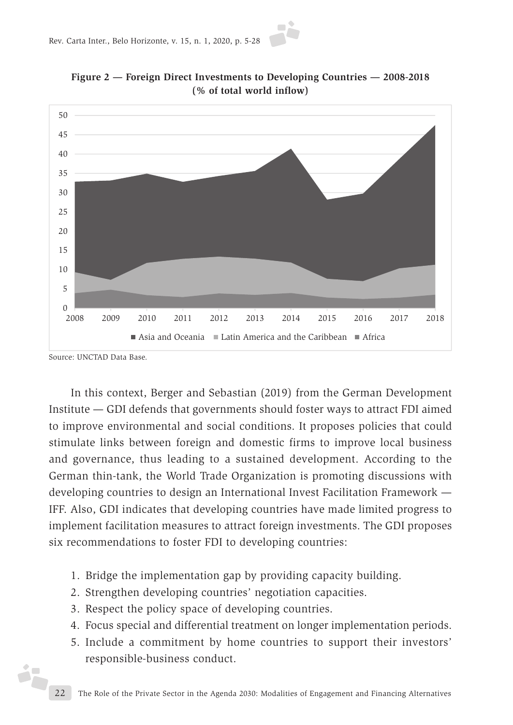



In this context, Berger and Sebastian (2019) from the German Development Institute — GDI defends that governments should foster ways to attract FDI aimed to improve environmental and social conditions. It proposes policies that could stimulate links between foreign and domestic firms to improve local business and governance, thus leading to a sustained development. According to the German thin-tank, the World Trade Organization is promoting discussions with developing countries to design an International Invest Facilitation Framework — IFF. Also, GDI indicates that developing countries have made limited progress to implement facilitation measures to attract foreign investments. The GDI proposes six recommendations to foster FDI to developing countries:

- 1. Bridge the implementation gap by providing capacity building.
- 2. Strengthen developing countries' negotiation capacities.
- 3. Respect the policy space of developing countries.
- 4. Focus special and differential treatment on longer implementation periods.
- 5. Include a commitment by home countries to support their investors' responsible-business conduct.

Source: UNCTAD Data Base.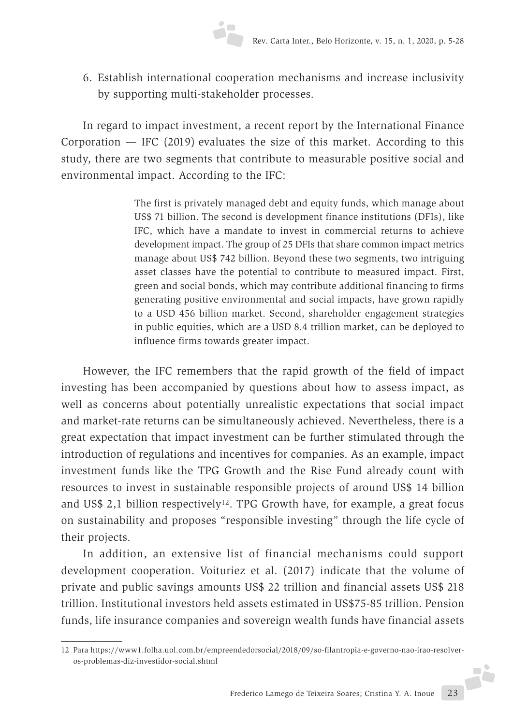6. Establish international cooperation mechanisms and increase inclusivity by supporting multi-stakeholder processes.

In regard to impact investment, a recent report by the International Finance Corporation  $-$  IFC (2019) evaluates the size of this market. According to this study, there are two segments that contribute to measurable positive social and environmental impact. According to the IFC:

> The first is privately managed debt and equity funds, which manage about US\$ 71 billion. The second is development finance institutions (DFIs), like IFC, which have a mandate to invest in commercial returns to achieve development impact. The group of 25 DFIs that share common impact metrics manage about US\$ 742 billion. Beyond these two segments, two intriguing asset classes have the potential to contribute to measured impact. First, green and social bonds, which may contribute additional financing to firms generating positive environmental and social impacts, have grown rapidly to a USD 456 billion market. Second, shareholder engagement strategies in public equities, which are a USD 8.4 trillion market, can be deployed to influence firms towards greater impact.

However, the IFC remembers that the rapid growth of the field of impact investing has been accompanied by questions about how to assess impact, as well as concerns about potentially unrealistic expectations that social impact and market-rate returns can be simultaneously achieved. Nevertheless, there is a great expectation that impact investment can be further stimulated through the introduction of regulations and incentives for companies. As an example, impact investment funds like the TPG Growth and the Rise Fund already count with resources to invest in sustainable responsible projects of around US\$ 14 billion and US\$ 2,1 billion respectively<sup>12</sup>. TPG Growth have, for example, a great focus on sustainability and proposes "responsible investing" through the life cycle of their projects.

In addition, an extensive list of financial mechanisms could support development cooperation. Voituriez et al. (2017) indicate that the volume of private and public savings amounts US\$ 22 trillion and financial assets US\$ 218 trillion. Institutional investors held assets estimated in US\$75-85 trillion. Pension funds, life insurance companies and sovereign wealth funds have financial assets

<sup>12</sup> Para https://www1.folha.uol.com.br/empreendedorsocial/2018/09/so-filantropia-e-governo-nao-irao-resolveros-problemas-diz-investidor-social.shtml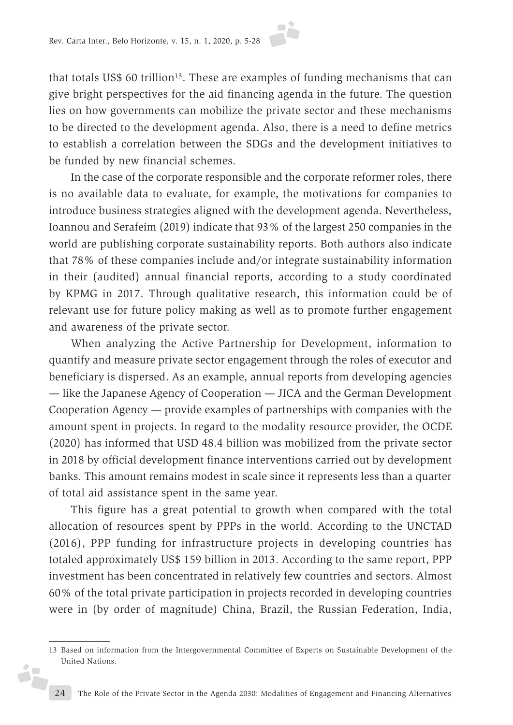that totals US\$ 60 trillion<sup>13</sup>. These are examples of funding mechanisms that can give bright perspectives for the aid financing agenda in the future. The question lies on how governments can mobilize the private sector and these mechanisms to be directed to the development agenda. Also, there is a need to define metrics to establish a correlation between the SDGs and the development initiatives to be funded by new financial schemes.

In the case of the corporate responsible and the corporate reformer roles, there is no available data to evaluate, for example, the motivations for companies to introduce business strategies aligned with the development agenda. Nevertheless, Ioannou and Serafeim (2019) indicate that 93% of the largest 250 companies in the world are publishing corporate sustainability reports. Both authors also indicate that 78% of these companies include and/or integrate sustainability information in their (audited) annual financial reports, according to a study coordinated by KPMG in 2017. Through qualitative research, this information could be of relevant use for future policy making as well as to promote further engagement and awareness of the private sector.

When analyzing the Active Partnership for Development, information to quantify and measure private sector engagement through the roles of executor and beneficiary is dispersed. As an example, annual reports from developing agencies — like the Japanese Agency of Cooperation — JICA and the German Development Cooperation Agency — provide examples of partnerships with companies with the amount spent in projects. In regard to the modality resource provider, the OCDE (2020) has informed that USD 48.4 billion was mobilized from the private sector in 2018 by official development finance interventions carried out by development banks. This amount remains modest in scale since it represents less than a quarter of total aid assistance spent in the same year.

This figure has a great potential to growth when compared with the total allocation of resources spent by PPPs in the world. According to the UNCTAD (2016), PPP funding for infrastructure projects in developing countries has totaled approximately US\$ 159 billion in 2013. According to the same report, PPP investment has been concentrated in relatively few countries and sectors. Almost 60% of the total private participation in projects recorded in developing countries were in (by order of magnitude) China, Brazil, the Russian Federation, India,

ó,

<sup>13</sup> Based on information from the Intergovernmental Committee of Experts on Sustainable Development of the United Nations.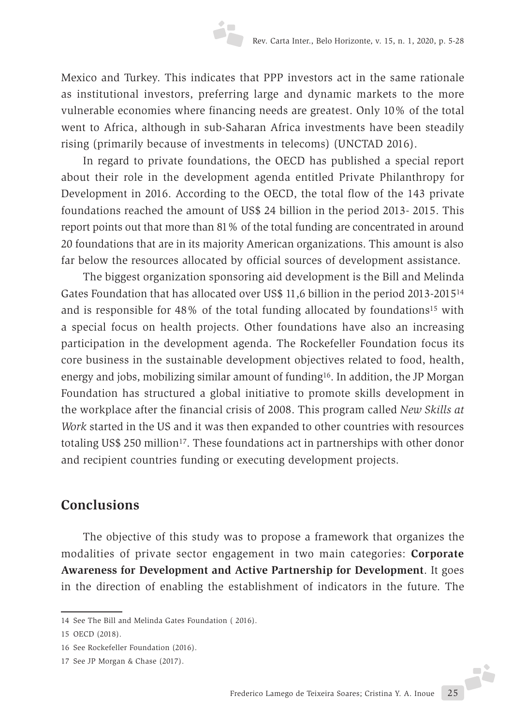Mexico and Turkey. This indicates that PPP investors act in the same rationale as institutional investors, preferring large and dynamic markets to the more vulnerable economies where financing needs are greatest. Only 10% of the total went to Africa, although in sub-Saharan Africa investments have been steadily rising (primarily because of investments in telecoms) (UNCTAD 2016).

In regard to private foundations, the OECD has published a special report about their role in the development agenda entitled Private Philanthropy for Development in 2016. According to the OECD, the total flow of the 143 private foundations reached the amount of US\$ 24 billion in the period 2013- 2015. This report points out that more than 81% of the total funding are concentrated in around 20 foundations that are in its majority American organizations. This amount is also far below the resources allocated by official sources of development assistance.

The biggest organization sponsoring aid development is the Bill and Melinda Gates Foundation that has allocated over US\$ 11,6 billion in the period 2013-201514 and is responsible for  $48\%$  of the total funding allocated by foundations<sup>15</sup> with a special focus on health projects. Other foundations have also an increasing participation in the development agenda. The Rockefeller Foundation focus its core business in the sustainable development objectives related to food, health, energy and jobs, mobilizing similar amount of funding16. In addition, the JP Morgan Foundation has structured a global initiative to promote skills development in the workplace after the financial crisis of 2008. This program called *New Skills at Work* started in the US and it was then expanded to other countries with resources totaling US\$ 250 million<sup>17</sup>. These foundations act in partnerships with other donor and recipient countries funding or executing development projects.

## **Conclusions**

The objective of this study was to propose a framework that organizes the modalities of private sector engagement in two main categories: **Corporate Awareness for Development and Active Partnership for Development**. It goes in the direction of enabling the establishment of indicators in the future. The

<sup>14</sup> See The Bill and Melinda Gates Foundation ( 2016).

<sup>15</sup> OECD (2018).

<sup>16</sup> See Rockefeller Foundation (2016).

<sup>17</sup> See JP Morgan & Chase (2017).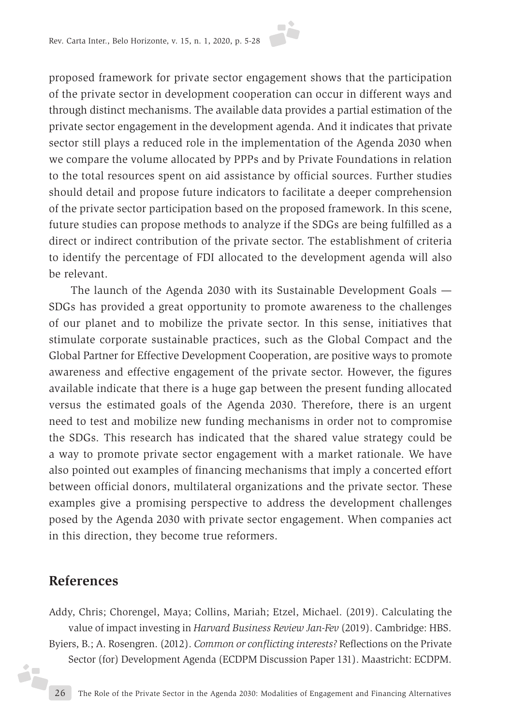proposed framework for private sector engagement shows that the participation of the private sector in development cooperation can occur in different ways and through distinct mechanisms. The available data provides a partial estimation of the private sector engagement in the development agenda. And it indicates that private sector still plays a reduced role in the implementation of the Agenda 2030 when we compare the volume allocated by PPPs and by Private Foundations in relation to the total resources spent on aid assistance by official sources. Further studies should detail and propose future indicators to facilitate a deeper comprehension of the private sector participation based on the proposed framework. In this scene, future studies can propose methods to analyze if the SDGs are being fulfilled as a direct or indirect contribution of the private sector. The establishment of criteria to identify the percentage of FDI allocated to the development agenda will also be relevant.

The launch of the Agenda 2030 with its Sustainable Development Goals — SDGs has provided a great opportunity to promote awareness to the challenges of our planet and to mobilize the private sector. In this sense, initiatives that stimulate corporate sustainable practices, such as the Global Compact and the Global Partner for Effective Development Cooperation, are positive ways to promote awareness and effective engagement of the private sector. However, the figures available indicate that there is a huge gap between the present funding allocated versus the estimated goals of the Agenda 2030. Therefore, there is an urgent need to test and mobilize new funding mechanisms in order not to compromise the SDGs. This research has indicated that the shared value strategy could be a way to promote private sector engagement with a market rationale. We have also pointed out examples of financing mechanisms that imply a concerted effort between official donors, multilateral organizations and the private sector. These examples give a promising perspective to address the development challenges posed by the Agenda 2030 with private sector engagement. When companies act in this direction, they become true reformers.

### **References**

j.

Addy, Chris; Chorengel, Maya; Collins, Mariah; Etzel, Michael. (2019). Calculating the value of impact investing in *Harvard Business Review Jan-Fev* (2019). Cambridge: HBS. Byiers, B.; A. Rosengren. (2012). *Common or conflicting interests?* Reflections on the Private Sector (for) Development Agenda (ECDPM Discussion Paper 131). Maastricht: ECDPM.

26 The Role of the Private Sector in the Agenda 2030: Modalities of Engagement and Financing Alternatives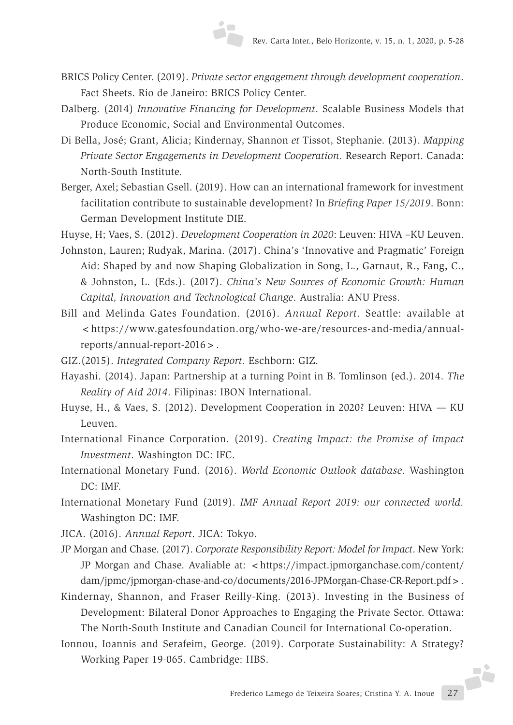- BRICS Policy Center. (2019). *Private sector engagement through development cooperation*. Fact Sheets. Rio de Janeiro: BRICS Policy Center.
- Dalberg. (2014) *Innovative Financing for Development*. Scalable Business Models that Produce Economic, Social and Environmental Outcomes.
- Di Bella, José; Grant, Alicia; Kindernay, Shannon *et* Tissot, Stephanie. (2013). *Mapping Private Sector Engagements in Development Cooperation.* Research Report. Canada: North-South Institute.
- Berger, Axel; Sebastian Gsell. (2019). How can an international framework for investment facilitation contribute to sustainable development? In *Briefing Paper 15/2019*. Bonn: German Development Institute DIE.
- Huyse, H; Vaes, S. (2012). *Development Cooperation in 2020*: Leuven: HIVA –KU Leuven.
- Johnston, Lauren; Rudyak, Marina. (2017). China's 'Innovative and Pragmatic' Foreign Aid: Shaped by and now Shaping Globalization in Song, L., Garnaut, R., Fang, C., & Johnston, L. (Eds.). (2017). *China's New Sources of Economic Growth: Human Capital, Innovation and Technological Change*. Australia: ANU Press.
- Bill and Melinda Gates Foundation. (2016). *Annual Report*. Seattle: available at <https://www.gatesfoundation.org/who-we-are/resources-and-media/annualreports/annual-report-2016>.
- GIZ.(2015). *Integrated Company Report.* Eschborn: GIZ.
- Hayashi. (2014). Japan: Partnership at a turning Point in B. Tomlinson (ed.). 2014. *The Reality of Aid 2014*. Filipinas: IBON International.
- Huyse, H., & Vaes, S. (2012). Development Cooperation in 2020? Leuven: HIVA KU Leuven.
- International Finance Corporation. (2019). *Creating Impact: the Promise of Impact Investment*. Washington DC: IFC.
- International Monetary Fund. (2016). *World Economic Outlook database*. Washington DC: IMF.
- International Monetary Fund (2019). *IMF Annual Report 2019: our connected world.*  Washington DC: IMF.
- JICA. (2016). *Annual Report*. JICA: Tokyo.
- JP Morgan and Chase. (2017). *Corporate Responsibility Report: Model for Impact*. New York: JP Morgan and Chase. Avaliable at: <https://impact.jpmorganchase.com/content/ dam/jpmc/jpmorgan-chase-and-co/documents/2016-JPMorgan-Chase-CR-Report.pdf>.
- Kindernay, Shannon, and Fraser Reilly-King. (2013). Investing in the Business of Development: Bilateral Donor Approaches to Engaging the Private Sector. Ottawa: The North-South Institute and Canadian Council for International Co-operation.
- Frederico Lamego de Teixeira Soares; Cristina Y. A. Inoue 27 Ionnou, Ioannis and Serafeim, George. (2019). Corporate Sustainability: A Strategy? Working Paper 19-065. Cambridge: HBS.